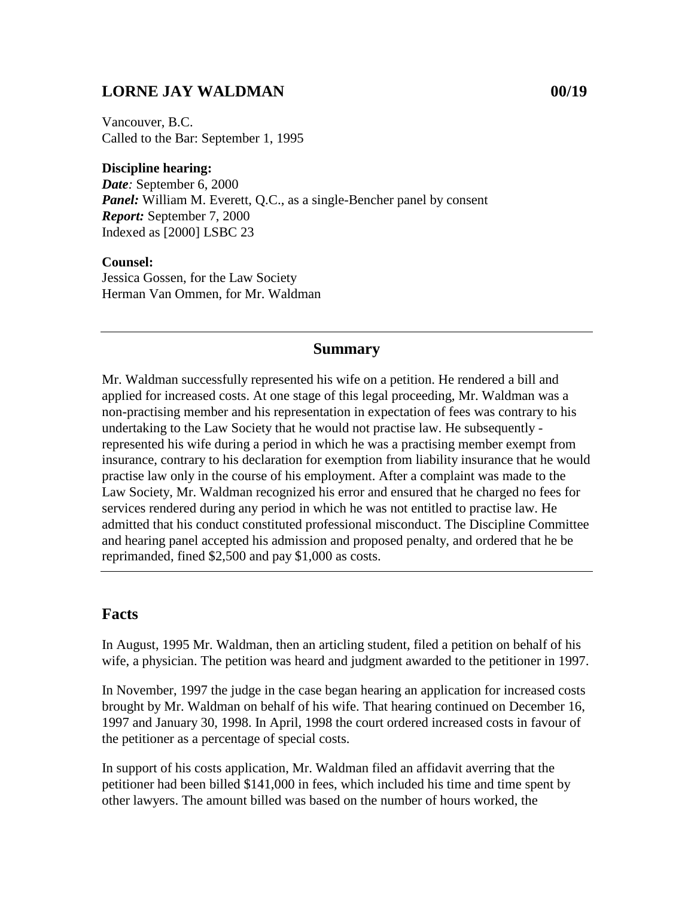## **LORNE JAY WALDMAN 00/19**

Vancouver, B.C. Called to the Bar: September 1, 1995

**Discipline hearing:** *Date:* September 6, 2000 *Panel:* William M. Everett, Q.C., as a single-Bencher panel by consent *Report:* September 7, 2000 Indexed as [2000] LSBC 23

**Counsel:** Jessica Gossen, for the Law Society Herman Van Ommen, for Mr. Waldman

## **Summary**

Mr. Waldman successfully represented his wife on a petition. He rendered a bill and applied for increased costs. At one stage of this legal proceeding, Mr. Waldman was a non-practising member and his representation in expectation of fees was contrary to his undertaking to the Law Society that he would not practise law. He subsequently represented his wife during a period in which he was a practising member exempt from insurance, contrary to his declaration for exemption from liability insurance that he would practise law only in the course of his employment. After a complaint was made to the Law Society, Mr. Waldman recognized his error and ensured that he charged no fees for services rendered during any period in which he was not entitled to practise law. He admitted that his conduct constituted professional misconduct. The Discipline Committee and hearing panel accepted his admission and proposed penalty, and ordered that he be reprimanded, fined \$2,500 and pay \$1,000 as costs.

## **Facts**

In August, 1995 Mr. Waldman, then an articling student, filed a petition on behalf of his wife, a physician. The petition was heard and judgment awarded to the petitioner in 1997.

In November, 1997 the judge in the case began hearing an application for increased costs brought by Mr. Waldman on behalf of his wife. That hearing continued on December 16, 1997 and January 30, 1998. In April, 1998 the court ordered increased costs in favour of the petitioner as a percentage of special costs.

In support of his costs application, Mr. Waldman filed an affidavit averring that the petitioner had been billed \$141,000 in fees, which included his time and time spent by other lawyers. The amount billed was based on the number of hours worked, the